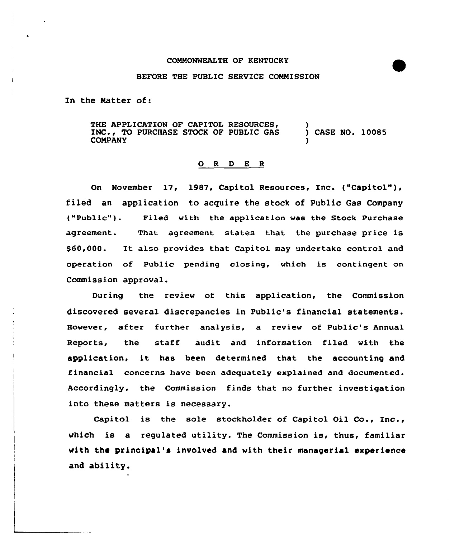## BEFORE THE PUBLIC SERVICE CONNISSION

In the Natter of:

THE APPLICATION OF CAPITOL RESOURCES, INC., TO PURCHASE STOCK OF PUBLIC GAS CONPANY ) ) CASE NO. 10085 )

## O R D E R

On November 17, 1987, Capitol Resources, Inc. ("Capitol" ), filed an application to acquire the stock of Public Gas Company ("Public" ). Filed with the application was the Stock Purchase agreement. That agreement states that the purchase price is \$60,000. It also provides that Capitol may undertake control and operation of Public pending closing, which is contingent on Commission approval.

During the review of this application, the Commission discovered several discrepancies in Public's financial statements. However, after further analysis, a review of Public's Annual Reports, the staff audit and information filed with the application, it has been determined that the accounting and financial concerns have been adequately explained and documented. Accordingly, the Commission finds that no further investigation into these matters is necessary.

Capitol is the sole stockholder of Capitol Oil Co., Inc., which is a regulated utility. The Commission is, thus, familiar with the principal's involved and with their managerial experience and ability.